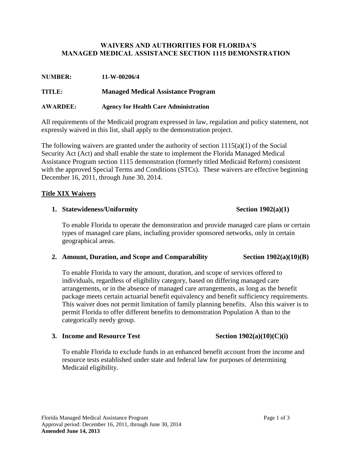### **WAIVERS AND AUTHORITIES FOR FLORIDA'S MANAGED MEDICAL ASSISTANCE SECTION 1115 DEMONSTRATION**

| 11-W-00206/4 |
|--------------|
|              |

**TITLE: Managed Medical Assistance Program**

**AWARDEE: Agency for Health Care Administration**

All requirements of the Medicaid program expressed in law, regulation and policy statement, not expressly waived in this list, shall apply to the demonstration project.

The following waivers are granted under the authority of section  $1115(a)(1)$  of the Social Security Act (Act) and shall enable the state to implement the Florida Managed Medical Assistance Program section 1115 demonstration (formerly titled Medicaid Reform) consistent with the approved Special Terms and Conditions (STCs). These waivers are effective beginning December 16, 2011, through June 30, 2014.

## **Title XIX Waivers**

## **1.** Statewideness/Uniformity Section 1902(a)(1)

To enable Florida to operate the demonstration and provide managed care plans or certain types of managed care plans, including provider sponsored networks, only in certain geographical areas.

### **2. Amount, Duration, and Scope and Comparability Section 1902(a)(10)(B)**

To enable Florida to vary the amount, duration, and scope of services offered to individuals, regardless of eligibility category, based on differing managed care arrangements, or in the absence of managed care arrangements, as long as the benefit package meets certain actuarial benefit equivalency and benefit sufficiency requirements. This waiver does not permit limitation of family planning benefits. Also this waiver is to permit Florida to offer different benefits to demonstration Population A than to the categorically needy group.

### **3. Income and Resource Test** Section  $1902(a)(10)(C)(i)$

To enable Florida to exclude funds in an enhanced benefit account from the income and resource tests established under state and federal law for purposes of determining Medicaid eligibility.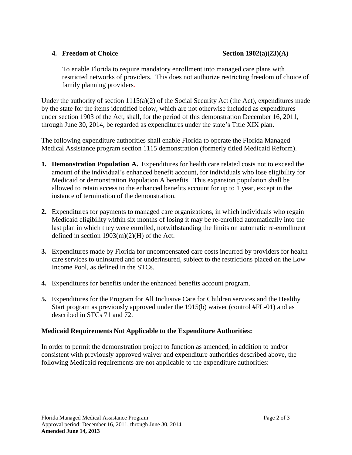### **4. Freedom of Choice** Section 1902(a)(23)(A)

To enable Florida to require mandatory enrollment into managed care plans with restricted networks of providers. This does not authorize restricting freedom of choice of family planning providers.

Under the authority of section 1115(a)(2) of the Social Security Act (the Act), expenditures made by the state for the items identified below, which are not otherwise included as expenditures under section 1903 of the Act, shall, for the period of this demonstration December 16, 2011, through June 30, 2014, be regarded as expenditures under the state's Title XIX plan.

The following expenditure authorities shall enable Florida to operate the Florida Managed Medical Assistance program section 1115 demonstration (formerly titled Medicaid Reform).

- **1. Demonstration Population A.** Expenditures for health care related costs not to exceed the amount of the individual's enhanced benefit account, for individuals who lose eligibility for Medicaid or demonstration Population A benefits. This expansion population shall be allowed to retain access to the enhanced benefits account for up to 1 year, except in the instance of termination of the demonstration.
- **2.** Expenditures for payments to managed care organizations, in which individuals who regain Medicaid eligibility within six months of losing it may be re-enrolled automatically into the last plan in which they were enrolled, notwithstanding the limits on automatic re-enrollment defined in section  $1903(m)(2)$ (H) of the Act.
- **3.** Expenditures made by Florida for uncompensated care costs incurred by providers for health care services to uninsured and or underinsured, subject to the restrictions placed on the Low Income Pool, as defined in the STCs.
- **4.** Expenditures for benefits under the enhanced benefits account program.
- **5.** Expenditures for the Program for All Inclusive Care for Children services and the Healthy Start program as previously approved under the 1915(b) waiver (control #FL-01) and as described in STCs 71 and 72.

### **Medicaid Requirements Not Applicable to the Expenditure Authorities:**

In order to permit the demonstration project to function as amended, in addition to and/or consistent with previously approved waiver and expenditure authorities described above, the following Medicaid requirements are not applicable to the expenditure authorities: